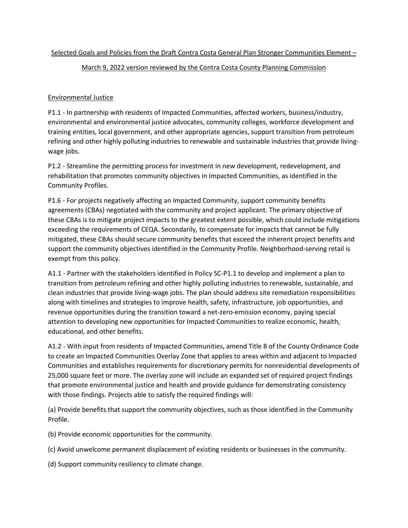## March 9, 2022 version reviewed by the Contra Costa County Planning Commission

# Environmental Justice

P1.1 - In partnership with residents of Impacted Communities, affected workers, business/industry, environmental and environmental justice advocates, community colleges, workforce development and training entities, local government, and other appropriate agencies, support transition from petroleum refining and other highly polluting industries to renewable and sustainable industries that provide livingwage jobs.

P1.2 - Streamline the permitting process for investment in new development, redevelopment, and rehabilitation that promotes community objectives in Impacted Communities, as identified in the Community Profiles.

P1.6 - For projects negatively affecting an Impacted Community, support community benefits agreements (CBAs) negotiated with the community and project applicant. The primary objective of these CBAs is to mitigate project impacts to the greatest extent possible, which could include mitigations exceeding the requirements of CEQA. Secondarily, to compensate for impacts that cannot be fully mitigated, these CBAs should secure community benefits that exceed the inherent project benefits and support the community objectives identified in the Community Profile. Neighborhood-serving retail is exempt from this policy.

A1.1 - Partner with the stakeholders identified in Policy SC-P1.1 to develop and implement a plan to transition from petroleum refining and other highly polluting industries to renewable, sustainable, and clean industries that provide living-wage jobs. The plan should address site remediation responsibilities along with timelines and strategies to improve health, safety, infrastructure, job opportunities, and revenue opportunities during the transition toward a net-zero-emission economy, paying special attention to developing new opportunities for Impacted Communities to realize economic, health, educational, and other benefits.

A1.2 - With input from residents of Impacted Communities, amend Title 8 of the County Ordinance Code to create an Impacted Communities Overlay Zone that applies to areas within and adjacent to Impacted Communities and establishes requirements for discretionary permits for nonresidential developments of 25,000 square feet or more. The overlay zone will include an expanded set of required project findings that promote environmental justice and health and provide guidance for demonstrating consistency with those findings. Projects able to satisfy the required findings will:

(a) Provide benefits that support the community objectives, such as those identified in the Community Profile.

(b) Provide economic opportunities for the community.

(c) Avoid unwelcome permanent displacement of existing residents or businesses in the community.

(d) Support community resiliency to climate change.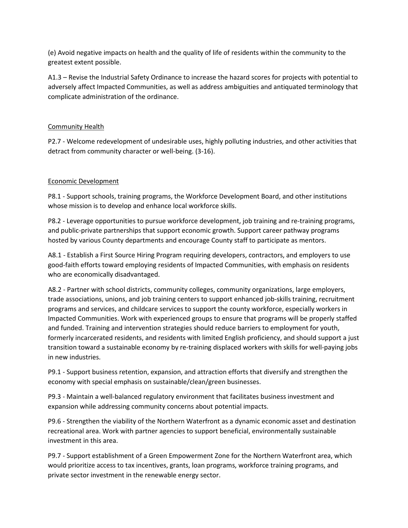(e) Avoid negative impacts on health and the quality of life of residents within the community to the greatest extent possible.

A1.3 – Revise the Industrial Safety Ordinance to increase the hazard scores for projects with potential to adversely affect Impacted Communities, as well as address ambiguities and antiquated terminology that complicate administration of the ordinance.

#### Community Health

P2.7 - Welcome redevelopment of undesirable uses, highly polluting industries, and other activities that detract from community character or well-being. (3-16).

### Economic Development

P8.1 - Support schools, training programs, the Workforce Development Board, and other institutions whose mission is to develop and enhance local workforce skills.

P8.2 - Leverage opportunities to pursue workforce development, job training and re-training programs, and public-private partnerships that support economic growth. Support career pathway programs hosted by various County departments and encourage County staff to participate as mentors.

A8.1 - Establish a First Source Hiring Program requiring developers, contractors, and employers to use good-faith efforts toward employing residents of Impacted Communities, with emphasis on residents who are economically disadvantaged.

A8.2 - Partner with school districts, community colleges, community organizations, large employers, trade associations, unions, and job training centers to support enhanced job-skills training, recruitment programs and services, and childcare services to support the county workforce, especially workers in Impacted Communities. Work with experienced groups to ensure that programs will be properly staffed and funded. Training and intervention strategies should reduce barriers to employment for youth, formerly incarcerated residents, and residents with limited English proficiency, and should support a just transition toward a sustainable economy by re-training displaced workers with skills for well-paying jobs in new industries.

P9.1 - Support business retention, expansion, and attraction efforts that diversify and strengthen the economy with special emphasis on sustainable/clean/green businesses.

P9.3 - Maintain a well-balanced regulatory environment that facilitates business investment and expansion while addressing community concerns about potential impacts.

P9.6 - Strengthen the viability of the Northern Waterfront as a dynamic economic asset and destination recreational area. Work with partner agencies to support beneficial, environmentally sustainable investment in this area.

P9.7 - Support establishment of a Green Empowerment Zone for the Northern Waterfront area, which would prioritize access to tax incentives, grants, loan programs, workforce training programs, and private sector investment in the renewable energy sector.